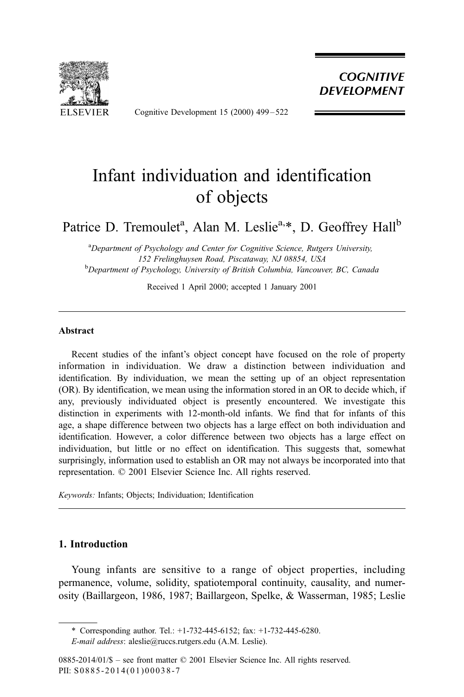

Cognitive Development 15 (2000) 499-522

# Infant individuation and identification of objects

Patrice D. Tremoulet<sup>a</sup>, Alan M. Leslie<sup>a,\*</sup>, D. Geoffrey Hall<sup>b</sup>

<sup>a</sup>Department of Psychology and Center for Cognitive Science, Rutgers University, 152 Frelinghuysen Road, Piscataway, NJ 08854, USA <sup>b</sup>Department of Psychology, University of British Columbia, Vancouver, BC, Canada

Received 1 April 2000; accepted 1 January 2001

#### **Abstract**

Recent studies of the infant's object concept have focused on the role of property information in individuation. We draw a distinction between individuation and identification. By individuation, we mean the setting up of an object representation (OR). By identification, we mean using the information stored in an OR to decide which, if any, previously individuated object is presently encountered. We investigate this distinction in experiments with 12-month-old infants. We find that for infants of this age, a shape difference between two objects has a large effect on both individuation and identification. However, a color difference between two objects has a large effect on individuation, but little or no effect on identification. This suggests that, somewhat surprisingly, information used to establish an OR may not always be incorporated into that representation. © 2001 Elsevier Science Inc. All rights reserved.

Keywords: Infants; Objects; Individuation; Identification

#### 1. Introduction

Young infants are sensitive to a range of object properties, including permanence, volume, solidity, spatiotemporal continuity, causality, and numerosity (Baillargeon, 1986, 1987; Baillargeon, Spelke, & Wasserman, 1985; Leslie

<sup>\*</sup> Corresponding author. Tel.: +1-732-445-6152; fax: +1-732-445-6280.

E-mail address: aleslie@ruccs.rutgers.edu (A.M. Leslie).

 $0885-2014/01/\$$  – see front matter © 2001 Elsevier Science Inc. All rights reserved. PII: S0885-2014(01)00038-7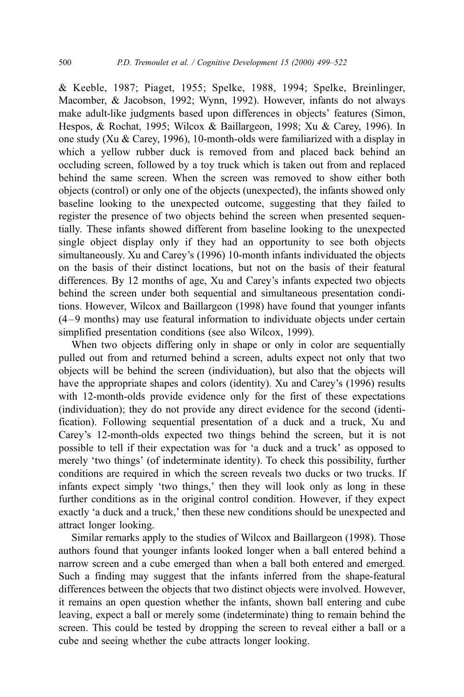& Keeble, 1987; Piaget, 1955; Spelke, 1988, 1994; Spelke, Breinlinger, Macomber, & Jacobson, 1992; Wynn, 1992). However, infants do not always make adult-like judgments based upon differences in objects' features (Simon, Hespos, & Rochat, 1995; Wilcox & Baillargeon, 1998; Xu & Carey, 1996). In one study (Xu & Carey, 1996), 10-month-olds were familiarized with a display in which a yellow rubber duck is removed from and placed back behind an occluding screen, followed by a toy truck which is taken out from and replaced behind the same screen. When the screen was removed to show either both objects (control) or only one of the objects (unexpected), the infants showed only baseline looking to the unexpected outcome, suggesting that they failed to register the presence of two objects behind the screen when presented sequentially. These infants showed different from baseline looking to the unexpected single object display only if they had an opportunity to see both objects simultaneously. Xu and Carey's (1996) 10-month infants individuated the objects on the basis of their distinct locations, but not on the basis of their featural differences. By 12 months of age, Xu and Carey's infants expected two objects behind the screen under both sequential and simultaneous presentation conditions. However, Wilcox and Baillargeon (1998) have found that younger infants  $(4-9)$  months) may use featural information to individuate objects under certain simplified presentation conditions (see also Wilcox, 1999).

When two objects differing only in shape or only in color are sequentially pulled out from and returned behind a screen, adults expect not only that two objects will be behind the screen (individuation), but also that the objects will have the appropriate shapes and colors (identity). Xu and Carey's (1996) results with 12-month-olds provide evidence only for the first of these expectations (individuation); they do not provide any direct evidence for the second (identification). Following sequential presentation of a duck and a truck, Xu and Carey's 12-month-olds expected two things behind the screen, but it is not possible to tell if their expectation was for 'a duck and a truck' as opposed to merely 'two things' (of indeterminate identity). To check this possibility, further conditions are required in which the screen reveals two ducks or two trucks. If infants expect simply 'two things,' then they will look only as long in these further conditions as in the original control condition. However, if they expect exactly 'a duck and a truck,' then these new conditions should be unexpected and attract longer looking.

Similar remarks apply to the studies of Wilcox and Baillargeon (1998). Those authors found that younger infants looked longer when a ball entered behind a narrow screen and a cube emerged than when a ball both entered and emerged. Such a finding may suggest that the infants inferred from the shape-featural differences between the objects that two distinct objects were involved. However, it remains an open question whether the infants, shown ball entering and cube leaving, expect a ball or merely some (indeterminate) thing to remain behind the screen. This could be tested by dropping the screen to reveal either a ball or a cube and seeing whether the cube attracts longer looking.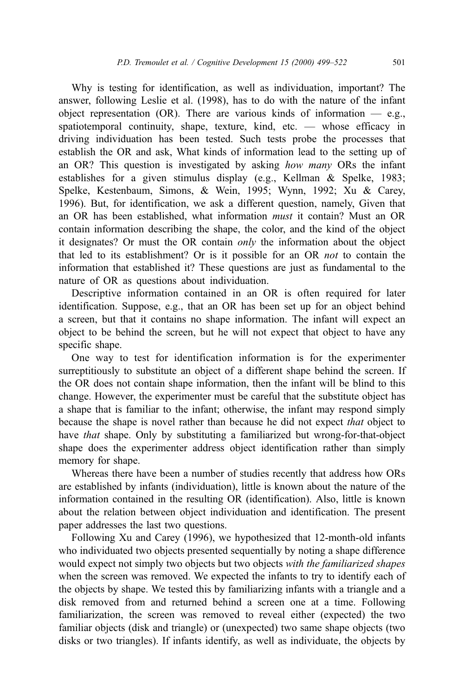Why is testing for identification, as well as individuation, important? The answer, following Leslie et al. (1998), has to do with the nature of the infant object representation (OR). There are various kinds of information  $-$  e.g., spatiotemporal continuity, shape, texture, kind, etc. — whose efficacy in driving individuation has been tested. Such tests probe the processes that establish the OR and ask, What kinds of information lead to the setting up of an OR? This question is investigated by asking how many ORs the infant establishes for a given stimulus display (e.g., Kellman & Spelke, 1983; Spelke, Kestenbaum, Simons, & Wein, 1995; Wynn, 1992; Xu & Carey, 1996). But, for identification, we ask a different question, namely, Given that an OR has been established, what information *must* it contain? Must an OR contain information describing the shape, the color, and the kind of the object it designates? Or must the OR contain *only* the information about the object that led to its establishment? Or is it possible for an OR *not* to contain the information that established it? These questions are just as fundamental to the nature of OR as questions about individuation.

Descriptive information contained in an OR is often required for later identification. Suppose, e.g., that an OR has been set up for an object behind a screen, but that it contains no shape information. The infant will expect an object to be behind the screen, but he will not expect that object to have any specific shape.

One way to test for identification information is for the experimenter surreptitiously to substitute an object of a different shape behind the screen. If the OR does not contain shape information, then the infant will be blind to this change. However, the experimenter must be careful that the substitute object has a shape that is familiar to the infant; otherwise, the infant may respond simply because the shape is novel rather than because he did not expect that object to have that shape. Only by substituting a familiarized but wrong-for-that-object shape does the experimenter address object identification rather than simply memory for shape.

Whereas there have been a number of studies recently that address how ORs are established by infants (individuation), little is known about the nature of the information contained in the resulting OR (identification). Also, little is known about the relation between object individuation and identification. The present paper addresses the last two questions.

Following Xu and Carey (1996), we hypothesized that 12-month-old infants who individuated two objects presented sequentially by noting a shape difference would expect not simply two objects but two objects with the familiarized shapes when the screen was removed. We expected the infants to try to identify each of the objects by shape. We tested this by familiarizing infants with a triangle and a disk removed from and returned behind a screen one at a time. Following familiarization, the screen was removed to reveal either (expected) the two familiar objects (disk and triangle) or (unexpected) two same shape objects (two disks or two triangles). If infants identify, as well as individuate, the objects by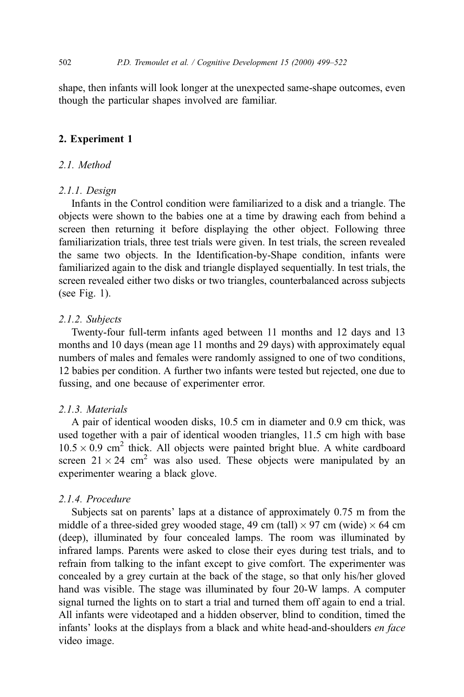shape, then infants will look longer at the unexpected same-shape outcomes, even though the particular shapes involved are familiar.

#### 2. Experiment 1

#### 2.1. Method

#### 2.1.1. Design

Infants in the Control condition were familiarized to a disk and a triangle. The objects were shown to the babies one at a time by drawing each from behind a screen then returning it before displaying the other object. Following three familiarization trials, three test trials were given. In test trials, the screen revealed the same two objects. In the Identification-by-Shape condition, infants were familiarized again to the disk and triangle displayed sequentially. In test trials, the screen revealed either two disks or two triangles, counterbalanced across subjects (see Fig. 1).

#### 2.1.2. Subjects

Twenty-four full-term infants aged between 11 months and 12 days and 13 months and 10 days (mean age 11 months and 29 days) with approximately equal numbers of males and females were randomly assigned to one of two conditions, 12 babies per condition. A further two infants were tested but rejected, one due to fussing, and one because of experimenter error.

#### 2.1.3. Materials

A pair of identical wooden disks, 10.5 cm in diameter and 0.9 cm thick, was used together with a pair of identical wooden triangles, 11.5 cm high with base  $10.5 \times 0.9$  cm<sup>2</sup> thick. All objects were painted bright blue. A white cardboard screen  $21 \times 24$  cm<sup>2</sup> was also used. These objects were manipulated by an experimenter wearing a black glove.

#### 2.1.4. Procedure

Subjects sat on parents' laps at a distance of approximately 0.75 m from the middle of a three-sided grey wooded stage, 49 cm (tall)  $\times$  97 cm (wide)  $\times$  64 cm (deep), illuminated by four concealed lamps. The room was illuminated by infrared lamps. Parents were asked to close their eyes during test trials, and to refrain from talking to the infant except to give comfort. The experimenter was concealed by a grey curtain at the back of the stage, so that only his/her gloved hand was visible. The stage was illuminated by four 20-W lamps. A computer signal turned the lights on to start a trial and turned them off again to end a trial. All infants were videotaped and a hidden observer, blind to condition, timed the infants' looks at the displays from a black and white head-and-shoulders en face video image.

502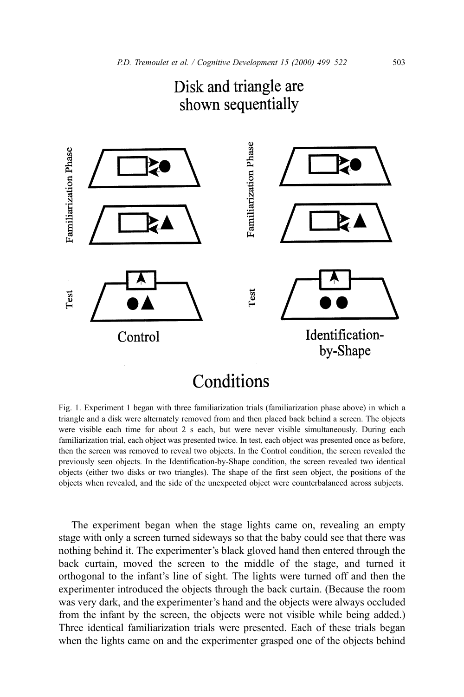## Disk and triangle are shown sequentially



# Conditions

Fig. 1. Experiment 1 began with three familiarization trials (familiarization phase above) in which a triangle and a disk were alternately removed from and then placed back behind a screen. The objects were visible each time for about 2 s each, but were never visible simultaneously. During each familiarization trial, each object was presented twice. In test, each object was presented once as before, then the screen was removed to reveal two objects. In the Control condition, the screen revealed the previously seen objects. In the Identification-by-Shape condition, the screen revealed two identical objects (either two disks or two triangles). The shape of the first seen object, the positions of the objects when revealed, and the side of the unexpected object were counterbalanced across subjects.

The experiment began when the stage lights came on, revealing an empty stage with only a screen turned sideways so that the baby could see that there was nothing behind it. The experimenter's black gloved hand then entered through the back curtain, moved the screen to the middle of the stage, and turned it orthogonal to the infant's line of sight. The lights were turned off and then the experimenter introduced the objects through the back curtain. (Because the room was very dark, and the experimenter's hand and the objects were always occluded from the infant by the screen, the objects were not visible while being added.) Three identical familiarization trials were presented. Each of these trials began when the lights came on and the experimenter grasped one of the objects behind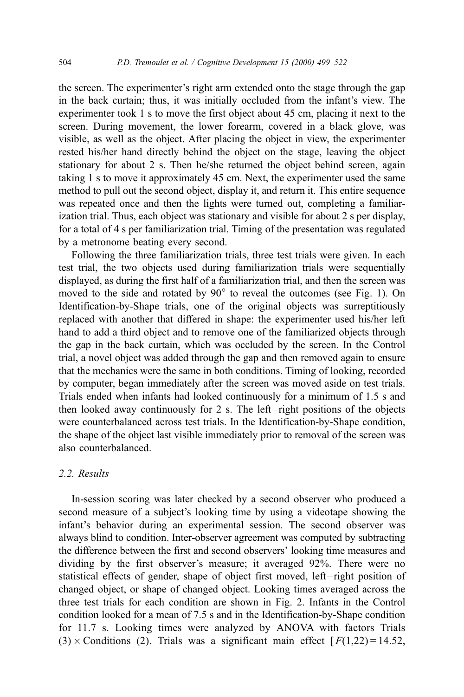the screen. The experimenter's right arm extended onto the stage through the gap in the back curtain; thus, it was initially occluded from the infant's view. The experimenter took 1 s to move the first object about 45 cm, placing it next to the screen. During movement, the lower forearm, covered in a black glove, was visible, as well as the object. After placing the object in view, the experimenter rested his/her hand directly behind the object on the stage, leaving the object stationary for about 2 s. Then he/she returned the object behind screen, again taking 1 s to move it approximately 45 cm. Next, the experimenter used the same method to pull out the second object, display it, and return it. This entire sequence was repeated once and then the lights were turned out, completing a familiarization trial. Thus, each object was stationary and visible for about 2 s per display, for a total of 4 s per familiarization trial. Timing of the presentation was regulated by a metronome beating every second.

Following the three familiarization trials, three test trials were given. In each test trial, the two objects used during familiarization trials were sequentially displayed, as during the first half of a familiarization trial, and then the screen was moved to the side and rotated by  $90^{\circ}$  to reveal the outcomes (see Fig. 1). On Identification-by-Shape trials, one of the original objects was surreptitiously replaced with another that differed in shape: the experimenter used his/her left hand to add a third object and to remove one of the familiarized objects through the gap in the back curtain, which was occluded by the screen. In the Control trial, a novel object was added through the gap and then removed again to ensure that the mechanics were the same in both conditions. Timing of looking, recorded by computer, began immediately after the screen was moved aside on test trials. Trials ended when infants had looked continuously for a minimum of 1.5 s and then looked away continuously for 2 s. The left-right positions of the objects were counterbalanced across test trials. In the Identification-by-Shape condition, the shape of the object last visible immediately prior to removal of the screen was also counterbalanced.

#### 2.2. Results

In-session scoring was later checked by a second observer who produced a second measure of a subject's looking time by using a videotape showing the infant's behavior during an experimental session. The second observer was always blind to condition. Inter-observer agreement was computed by subtracting the difference between the first and second observers' looking time measures and dividing by the first observer's measure; it averaged 92%. There were no statistical effects of gender, shape of object first moved, left-right position of changed object, or shape of changed object. Looking times averaged across the three test trials for each condition are shown in Fig. 2. Infants in the Control condition looked for a mean of 7.5 s and in the Identification-by-Shape condition for 11.7 s. Looking times were analyzed by ANOVA with factors Trials  $(3) \times$  Conditions (2). Trials was a significant main effect [ $F(1,22) = 14.52$ ,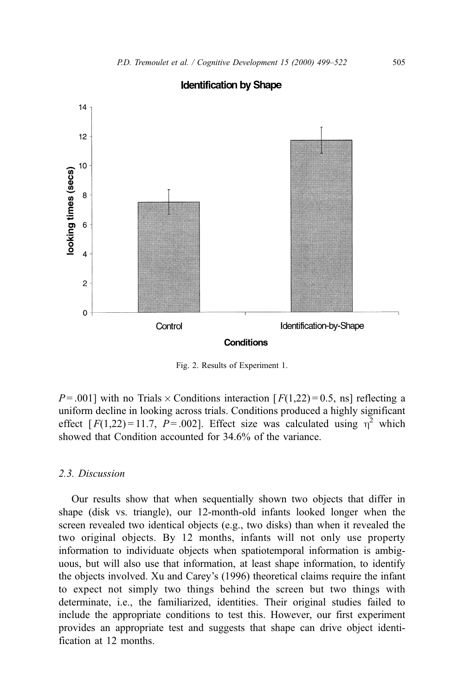

**Identification by Shape** 

Fig. 2. Results of Experiment 1.

 $P = .001$ ] with no Trials  $\times$  Conditions interaction  $[F(1,22) = 0.5, \text{ ns}]$  reflecting a uniform decline in looking across trials. Conditions produced a highly significant effect  $[F(1,22)=11.7, P=.002]$ . Effect size was calculated using  $\eta^2$  which showed that Condition accounted for 34.6% of the variance.

#### 2.3. Discussion

Our results show that when sequentially shown two objects that differ in shape (disk vs. triangle), our 12-month-old infants looked longer when the screen revealed two identical objects (e.g., two disks) than when it revealed the two original objects. By 12 months, infants will not only use property information to individuate objects when spatiotemporal information is ambiguous, but will also use that information, at least shape information, to identify the objects involved. Xu and Carey's (1996) theoretical claims require the infant to expect not simply two things behind the screen but two things with determinate, i.e., the familiarized, identities. Their original studies failed to include the appropriate conditions to test this. However, our first experiment provides an appropriate test and suggests that shape can drive object identification at 12 months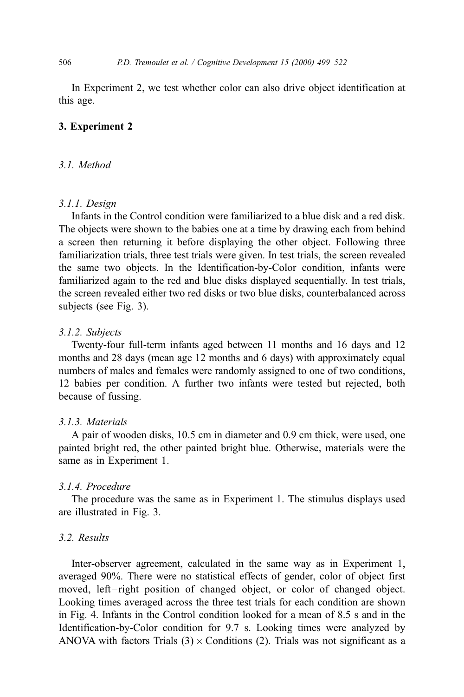In Experiment 2, we test whether color can also drive object identification at this age.

#### 3. Experiment 2

#### 3.1. Method

#### 3.1.1. Design

Infants in the Control condition were familiarized to a blue disk and a red disk. The objects were shown to the babies one at a time by drawing each from behind a screen then returning it before displaying the other object. Following three familiarization trials, three test trials were given. In test trials, the screen revealed the same two objects. In the Identification-by-Color condition, infants were familiarized again to the red and blue disks displayed sequentially. In test trials, the screen revealed either two red disks or two blue disks, counterbalanced across subjects (see Fig. 3).

#### 3.1.2. Subjects

Twenty-four full-term infants aged between 11 months and 16 days and 12 months and 28 days (mean age 12 months and 6 days) with approximately equal numbers of males and females were randomly assigned to one of two conditions, 12 babies per condition. A further two infants were tested but rejected, both because of fussing.

#### 3.1.3. Materials

A pair of wooden disks, 10.5 cm in diameter and 0.9 cm thick, were used, one painted bright red, the other painted bright blue. Otherwise, materials were the same as in Experiment 1.

#### 3.1.4. Procedure

The procedure was the same as in Experiment 1. The stimulus displays used are illustrated in Fig. 3.

#### 3.2 Results

Inter-observer agreement, calculated in the same way as in Experiment 1, averaged 90%. There were no statistical effects of gender, color of object first moved, left-right position of changed object, or color of changed object. Looking times averaged across the three test trials for each condition are shown in Fig. 4. Infants in the Control condition looked for a mean of 8.5 s and in the Identification-by-Color condition for 9.7 s. Looking times were analyzed by ANOVA with factors Trials  $(3) \times$  Conditions (2). Trials was not significant as a

506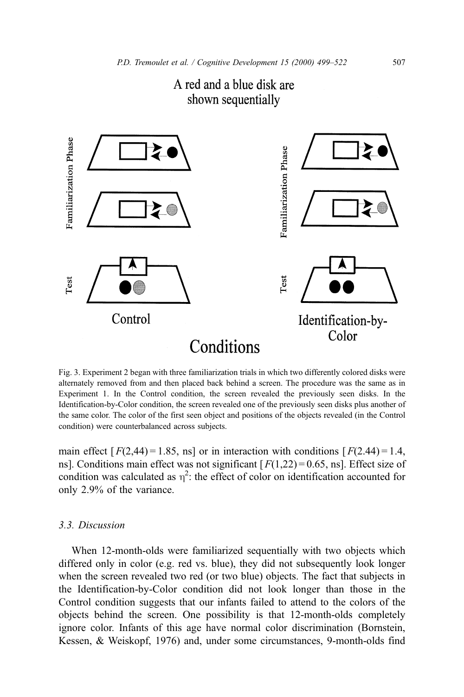

Fig. 3. Experiment 2 began with three familiarization trials in which two differently colored disks were alternately removed from and then placed back behind a screen. The procedure was the same as in Experiment 1. In the Control condition, the screen revealed the previously seen disks. In the Identification-by-Color condition, the screen revealed one of the previously seen disks plus another of the same color. The color of the first seen object and positions of the objects revealed (in the Control condition) were counterbalanced across subjects.

main effect  $\lceil F(2,44) = 1.85$ , ns or in interaction with conditions  $\lceil F(2.44) = 1.4$ , ns]. Conditions main effect was not significant  $[F(1,22)=0.65, \text{ns}]$ . Effect size of condition was calculated as  $\eta^2$ : the effect of color on identification accounted for only 2.9% of the variance.

#### 3.3. Discussion

When 12-month-olds were familiarized sequentially with two objects which differed only in color (e.g. red vs. blue), they did not subsequently look longer when the screen revealed two red (or two blue) objects. The fact that subjects in the Identification-by-Color condition did not look longer than those in the Control condition suggests that our infants failed to attend to the colors of the objects behind the screen. One possibility is that 12-month-olds completely ignore color. Infants of this age have normal color discrimination (Bornstein, Kessen, & Weiskopf, 1976) and, under some circumstances, 9-month-olds find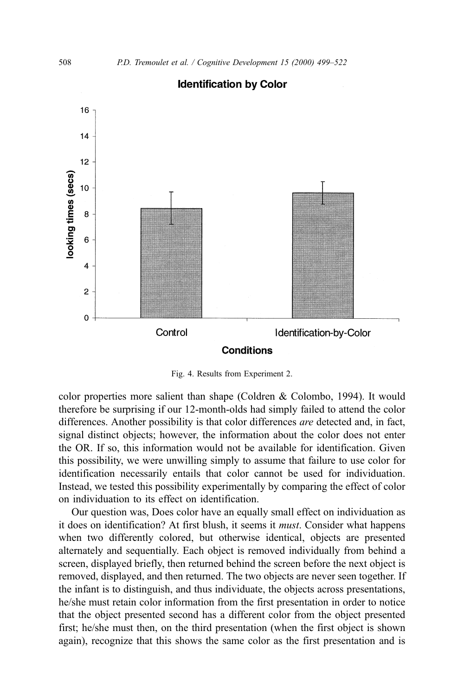

#### **Identification by Color**

Fig. 4. Results from Experiment 2.

color properties more salient than shape (Coldren & Colombo, 1994). It would therefore be surprising if our 12-month-olds had simply failed to attend the color differences. Another possibility is that color differences are detected and, in fact, signal distinct objects; however, the information about the color does not enter the OR. If so, this information would not be available for identification. Given this possibility, we were unwilling simply to assume that failure to use color for identification necessarily entails that color cannot be used for individuation. Instead, we tested this possibility experimentally by comparing the effect of color on individuation to its effect on identification.

Our question was, Does color have an equally small effect on individuation as it does on identification? At first blush, it seems it *must*. Consider what happens when two differently colored, but otherwise identical, objects are presented alternately and sequentially. Each object is removed individually from behind a screen, displayed briefly, then returned behind the screen before the next object is removed, displayed, and then returned. The two objects are never seen together. If the infant is to distinguish, and thus individuate, the objects across presentations, he/she must retain color information from the first presentation in order to notice that the object presented second has a different color from the object presented first; he/she must then, on the third presentation (when the first object is shown again), recognize that this shows the same color as the first presentation and is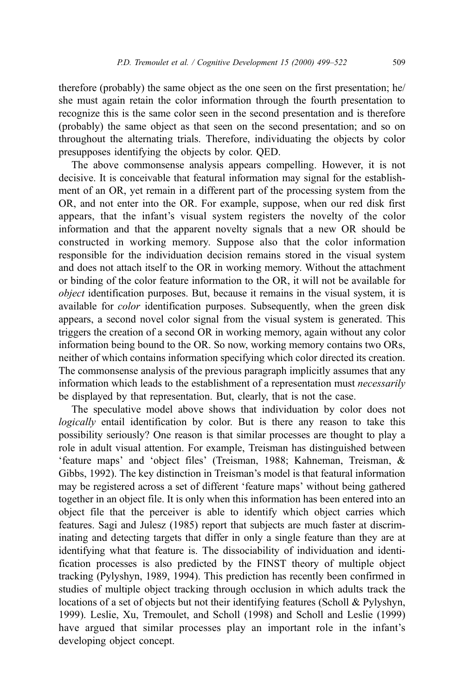therefore (probably) the same object as the one seen on the first presentation; he she must again retain the color information through the fourth presentation to recognize this is the same color seen in the second presentation and is therefore (probably) the same object as that seen on the second presentation; and so on throughout the alternating trials. Therefore, individuating the objects by color presupposes identifying the objects by color. QED.

The above commonsense analysis appears compelling. However, it is not decisive. It is conceivable that featural information may signal for the establishment of an OR, yet remain in a different part of the processing system from the OR, and not enter into the OR. For example, suppose, when our red disk first appears, that the infant's visual system registers the novelty of the color information and that the apparent novelty signals that a new OR should be constructed in working memory. Suppose also that the color information responsible for the individuation decision remains stored in the visual system and does not attach itself to the OR in working memory. Without the attachment or binding of the color feature information to the OR, it will not be available for object identification purposes. But, because it remains in the visual system, it is available for *color* identification purposes. Subsequently, when the green disk appears, a second novel color signal from the visual system is generated. This triggers the creation of a second OR in working memory, again without any color information being bound to the OR. So now, working memory contains two ORs, neither of which contains information specifying which color directed its creation. The commonsense analysis of the previous paragraph implicitly assumes that any information which leads to the establishment of a representation must *necessarily* be displayed by that representation. But, clearly, that is not the case.

The speculative model above shows that individuation by color does not logically entail identification by color. But is there any reason to take this possibility seriously? One reason is that similar processes are thought to play a role in adult visual attention. For example, Treisman has distinguished between 'feature maps' and 'object files' (Treisman, 1988; Kahneman, Treisman, & Gibbs, 1992). The key distinction in Treisman's model is that featural information may be registered across a set of different 'feature maps' without being gathered together in an object file. It is only when this information has been entered into an object file that the perceiver is able to identify which object carries which features. Sagi and Julesz (1985) report that subjects are much faster at discriminating and detecting targets that differ in only a single feature than they are at identifying what that feature is. The dissociability of individuation and identification processes is also predicted by the FINST theory of multiple object tracking (Pylyshyn, 1989, 1994). This prediction has recently been confirmed in studies of multiple object tracking through occlusion in which adults track the locations of a set of objects but not their identifying features (Scholl & Pylyshyn, 1999). Leslie, Xu, Tremoulet, and Scholl (1998) and Scholl and Leslie (1999) have argued that similar processes play an important role in the infant's developing object concept.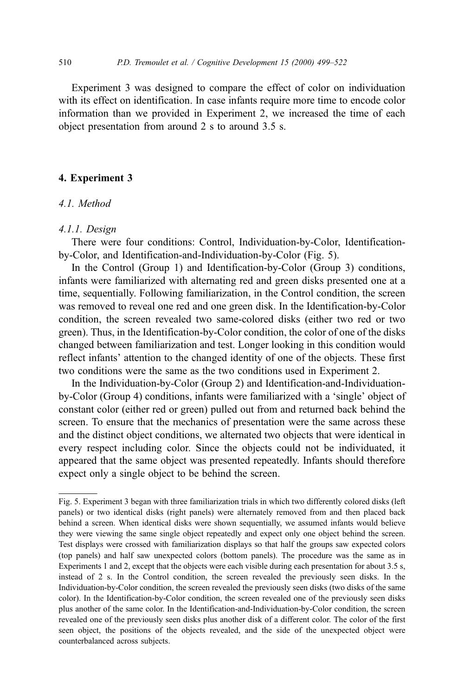Experiment 3 was designed to compare the effect of color on individuation with its effect on identification. In case infants require more time to encode color information than we provided in Experiment 2, we increased the time of each object presentation from around 2 s to around 3.5 s.

#### 4. Experiment 3

#### 4.1. Method

#### 4.1.1. Design

There were four conditions: Control, Individuation-by-Color, Identificationby-Color, and Identification-and-Individuation-by-Color (Fig. 5).

In the Control (Group 1) and Identification-by-Color (Group 3) conditions, infants were familiarized with alternating red and green disks presented one at a time, sequentially. Following familiarization, in the Control condition, the screen was removed to reveal one red and one green disk. In the Identification-by-Color condition, the screen revealed two same-colored disks (either two red or two green). Thus, in the Identification-by-Color condition, the color of one of the disks changed between familiarization and test. Longer looking in this condition would reflect infants' attention to the changed identity of one of the objects. These first two conditions were the same as the two conditions used in Experiment 2.

In the Individuation-by-Color (Group 2) and Identification-and-Individuationby-Color (Group 4) conditions, infants were familiarized with a 'single' object of constant color (either red or green) pulled out from and returned back behind the screen. To ensure that the mechanics of presentation were the same across these and the distinct object conditions, we alternated two objects that were identical in every respect including color. Since the objects could not be individuated, it appeared that the same object was presented repeatedly. Infants should therefore expect only a single object to be behind the screen.

Fig. 5. Experiment 3 began with three familiarization trials in which two differently colored disks (left panels) or two identical disks (right panels) were alternately removed from and then placed back behind a screen. When identical disks were shown sequentially, we assumed infants would believe they were viewing the same single object repeatedly and expect only one object behind the screen. Test displays were crossed with familiarization displays so that half the groups saw expected colors (top panels) and half saw unexpected colors (bottom panels). The procedure was the same as in Experiments 1 and 2, except that the objects were each visible during each presentation for about 3.5 s, instead of 2 s. In the Control condition, the screen revealed the previously seen disks. In the Individuation-by-Color condition, the screen revealed the previously seen disks (two disks of the same color). In the Identification-by-Color condition, the screen revealed one of the previously seen disks plus another of the same color. In the Identification-and-Individuation-by-Color condition, the screen revealed one of the previously seen disks plus another disk of a different color. The color of the first seen object, the positions of the objects revealed, and the side of the unexpected object were counterbalanced across subjects.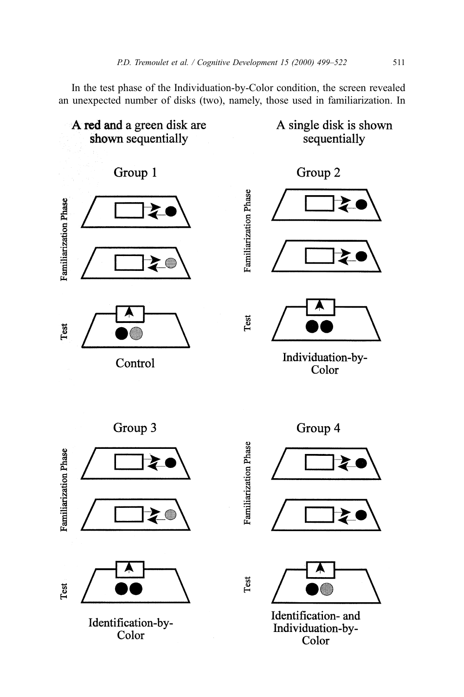In the test phase of the Individuation-by-Color condition, the screen revealed an unexpected number of disks (two), namely, those used in familiarization. In

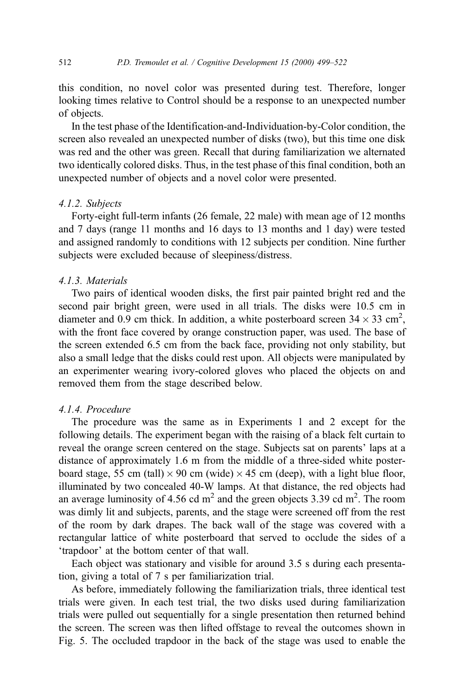this condition, no novel color was presented during test. Therefore, longer looking times relative to Control should be a response to an unexpected number of objects.

In the test phase of the Identification-and-Individuation-by-Color condition, the screen also revealed an unexpected number of disks (two), but this time one disk was red and the other was green. Recall that during familiarization we alternated two identically colored disks. Thus, in the test phase of this final condition, both an unexpected number of objects and a novel color were presented.

#### 4.1.2. Subjects

Forty-eight full-term infants (26 female, 22 male) with mean age of 12 months and 7 days (range 11 months and 16 days to 13 months and 1 day) were tested and assigned randomly to conditions with 12 subjects per condition. Nine further subjects were excluded because of sleepiness/distress.

#### 4.1.3. Materials

Two pairs of identical wooden disks, the first pair painted bright red and the second pair bright green, were used in all trials. The disks were 10.5 cm in diameter and 0.9 cm thick. In addition, a white posterboard screen  $34 \times 33$  cm<sup>2</sup>, with the front face covered by orange construction paper, was used. The base of the screen extended 6.5 cm from the back face, providing not only stability, but also a small ledge that the disks could rest upon. All objects were manipulated by an experimenter wearing ivory-colored gloves who placed the objects on and removed them from the stage described below.

#### 4.1.4. Procedure

The procedure was the same as in Experiments 1 and 2 except for the following details. The experiment began with the raising of a black felt curtain to reveal the orange screen centered on the stage. Subjects sat on parents' laps at a distance of approximately 1.6 m from the middle of a three-sided white posterboard stage, 55 cm (tall)  $\times$  90 cm (wide)  $\times$  45 cm (deep), with a light blue floor, illuminated by two concealed 40-W lamps. At that distance, the red objects had an average luminosity of 4.56 cd  $m^2$  and the green objects 3.39 cd  $m^2$ . The room was dimly lit and subjects, parents, and the stage were screened off from the rest of the room by dark drapes. The back wall of the stage was covered with a rectangular lattice of white posterboard that served to occlude the sides of a 'trapdoor' at the bottom center of that wall.

Each object was stationary and visible for around 3.5 s during each presentation, giving a total of 7 s per familiarization trial.

As before, immediately following the familiarization trials, three identical test trials were given. In each test trial, the two disks used during familiarization trials were pulled out sequentially for a single presentation then returned behind the screen. The screen was then lifted offstage to reveal the outcomes shown in Fig. 5. The occluded trapdoor in the back of the stage was used to enable the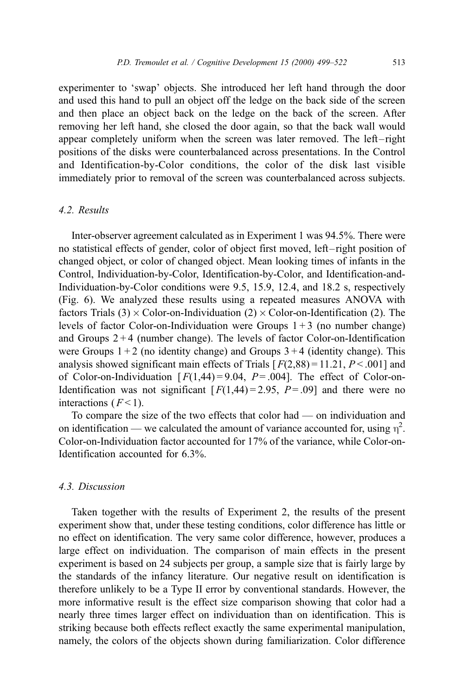experimenter to 'swap' objects. She introduced her left hand through the door and used this hand to pull an object off the ledge on the back side of the screen and then place an object back on the ledge on the back of the screen. After removing her left hand, she closed the door again, so that the back wall would appear completely uniform when the screen was later removed. The left-right positions of the disks were counterbalanced across presentations. In the Control and Identification-by-Color conditions, the color of the disk last visible immediately prior to removal of the screen was counterbalanced across subjects.

#### 4.2 Results

Inter-observer agreement calculated as in Experiment 1 was 94.5%. There were no statistical effects of gender, color of object first moved, left-right position of changed object, or color of changed object. Mean looking times of infants in the Control, Individuation-by-Color, Identification-by-Color, and Identification-and-Individuation-by-Color conditions were 9.5, 15.9, 12.4, and 18.2 s, respectively (Fig. 6). We analyzed these results using a repeated measures ANOVA with factors Trials (3)  $\times$  Color-on-Individuation (2)  $\times$  Color-on-Identification (2). The levels of factor Color-on-Individuation were Groups  $1+3$  (no number change) and Groups  $2+4$  (number change). The levels of factor Color-on-Identification were Groups  $1+2$  (no identity change) and Groups  $3+4$  (identity change). This analysis showed significant main effects of Trials  $[F(2,88) = 11.21, P < .001]$  and of Color-on-Individuation  $[F(1,44) = 9.04, P = .004]$ . The effect of Color-on-Identification was not significant  $[F(1,44) = 2.95, P = .09]$  and there were no interactions  $(F<1)$ .

To compare the size of the two effects that color had — on individuation and on identification — we calculated the amount of variance accounted for, using  $\eta^2$ . Color-on-Individuation factor accounted for 17% of the variance, while Color-on-Identification accounted for 6.3%.

#### 4.3 Discussion

Taken together with the results of Experiment 2, the results of the present experiment show that, under these testing conditions, color difference has little or no effect on identification. The very same color difference, however, produces a large effect on individuation. The comparison of main effects in the present experiment is based on 24 subjects per group, a sample size that is fairly large by the standards of the infancy literature. Our negative result on identification is therefore unlikely to be a Type II error by conventional standards. However, the more informative result is the effect size comparison showing that color had a nearly three times larger effect on individuation than on identification. This is striking because both effects reflect exactly the same experimental manipulation, namely, the colors of the objects shown during familiarization. Color difference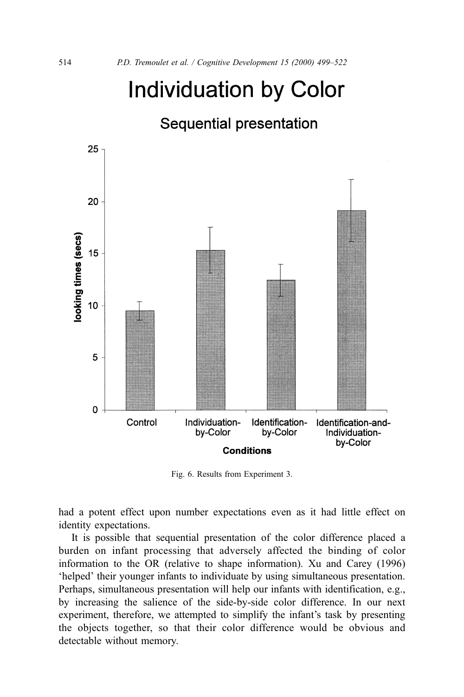# **Individuation by Color**



Fig. 6. Results from Experiment 3.

had a potent effect upon number expectations even as it had little effect on identity expectations.

It is possible that sequential presentation of the color difference placed a burden on infant processing that adversely affected the binding of color information to the OR (relative to shape information). Xu and Carey (1996) 'helped' their younger infants to individuate by using simultaneous presentation. Perhaps, simultaneous presentation will help our infants with identification, e.g., by increasing the salience of the side-by-side color difference. In our next experiment, therefore, we attempted to simplify the infant's task by presenting the objects together, so that their color difference would be obvious and detectable without memory.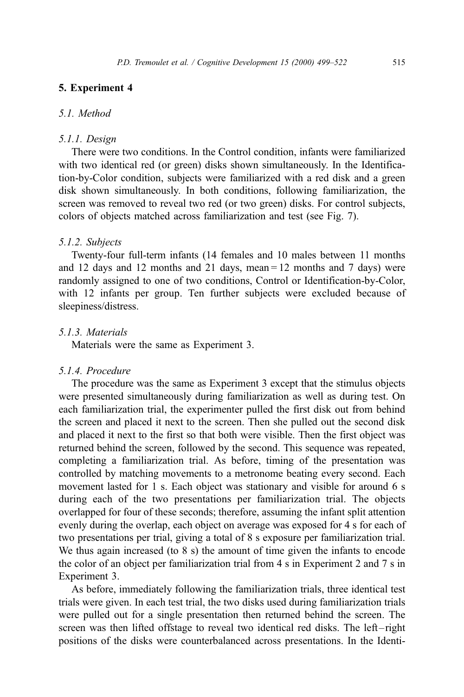#### 5. Experiment 4

#### 5.1. Method

#### 5.1.1. Design

There were two conditions. In the Control condition, infants were familiarized with two identical red (or green) disks shown simultaneously. In the Identification-by-Color condition, subjects were familiarized with a red disk and a green disk shown simultaneously. In both conditions, following familiarization, the screen was removed to reveal two red (or two green) disks. For control subjects, colors of objects matched across familiarization and test (see Fig. 7).

#### 5.1.2. Subjects

Twenty-four full-term infants (14 females and 10 males between 11 months) and 12 days and 12 months and 21 days, mean  $= 12$  months and 7 days) were randomly assigned to one of two conditions, Control or Identification-by-Color, with 12 infants per group. Ten further subjects were excluded because of sleepiness/distress.

#### 5.1.3. Materials

Materials were the same as Experiment 3.

#### 5.1.4. Procedure

The procedure was the same as Experiment 3 except that the stimulus objects were presented simultaneously during familiarization as well as during test. On each familiarization trial, the experimenter pulled the first disk out from behind the screen and placed it next to the screen. Then she pulled out the second disk and placed it next to the first so that both were visible. Then the first object was returned behind the screen, followed by the second. This sequence was repeated, completing a familiarization trial. As before, timing of the presentation was controlled by matching movements to a metronome beating every second. Each movement lasted for 1 s. Each object was stationary and visible for around 6 s during each of the two presentations per familiarization trial. The objects overlapped for four of these seconds; therefore, assuming the infant split attention evenly during the overlap, each object on average was exposed for 4 s for each of two presentations per trial, giving a total of 8 s exposure per familiarization trial. We thus again increased (to  $8 \text{ s}$ ) the amount of time given the infants to encode the color of an object per familiarization trial from 4 s in Experiment 2 and 7 s in Experiment 3.

As before, immediately following the familiarization trials, three identical test trials were given. In each test trial, the two disks used during familiarization trials were pulled out for a single presentation then returned behind the screen. The screen was then lifted offstage to reveal two identical red disks. The left-right positions of the disks were counterbalanced across presentations. In the Identi-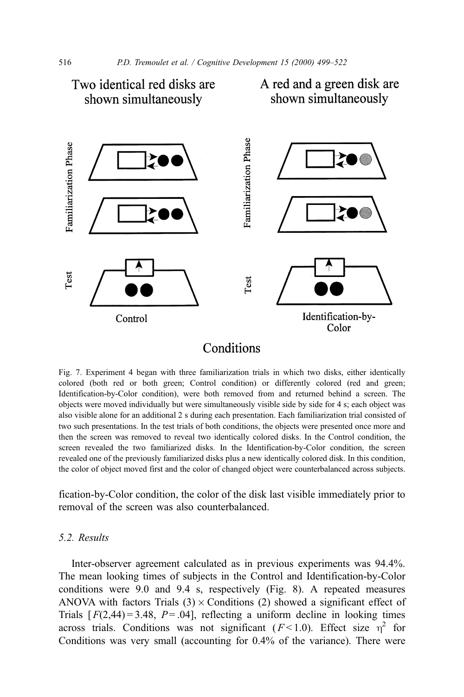

### Conditions

Fig. 7. Experiment 4 began with three familiarization trials in which two disks, either identically colored (both red or both green; Control condition) or differently colored (red and green; Identification-by-Color condition), were both removed from and returned behind a screen. The objects were moved individually but were simultaneously visible side by side for 4 s; each object was also visible alone for an additional 2 s during each presentation. Each familiarization trial consisted of two such presentations. In the test trials of both conditions, the objects were presented once more and then the screen was removed to reveal two identically colored disks. In the Control condition, the screen revealed the two familiarized disks. In the Identification-by-Color condition, the screen revealed one of the previously familiarized disks plus a new identically colored disk. In this condition, the color of object moved first and the color of changed object were counterbalanced across subjects.

fication-by-Color condition, the color of the disk last visible immediately prior to removal of the screen was also counterbalanced.

#### 5.2. Results

Inter-observer agreement calculated as in previous experiments was 94.4%. The mean looking times of subjects in the Control and Identification-by-Color conditions were 9.0 and 9.4 s, respectively (Fig. 8). A repeated measures ANOVA with factors Trials  $(3) \times$  Conditions (2) showed a significant effect of Trials  $[F(2,44) = 3.48, P = .04]$ , reflecting a uniform decline in looking times across trials. Conditions was not significant ( $F$ <1.0). Effect size  $\eta^2$  for Conditions was very small (accounting for 0.4% of the variance). There were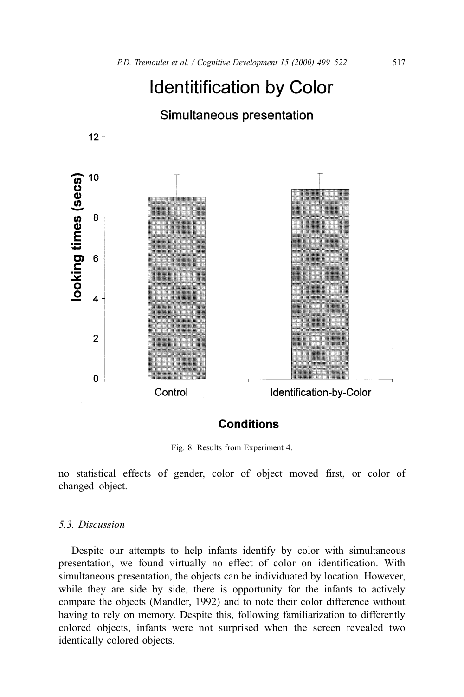

Fig. 8. Results from Experiment 4.

no statistical effects of gender, color of object moved first, or color of changed object.

#### 5.3. Discussion

Despite our attempts to help infants identify by color with simultaneous presentation, we found virtually no effect of color on identification. With simultaneous presentation, the objects can be individuated by location. However, while they are side by side, there is opportunity for the infants to actively compare the objects (Mandler, 1992) and to note their color difference without having to rely on memory. Despite this, following familiarization to differently colored objects, infants were not surprised when the screen revealed two identically colored objects.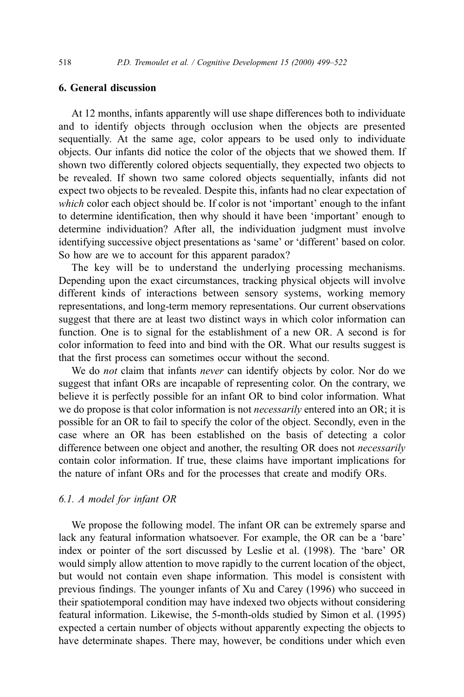#### 6. General discussion

At 12 months, infants apparently will use shape differences both to individuate and to identify objects through occlusion when the objects are presented sequentially. At the same age, color appears to be used only to individuate objects. Our infants did notice the color of the objects that we showed them. If shown two differently colored objects sequentially, they expected two objects to be revealed. If shown two same colored objects sequentially, infants did not expect two objects to be revealed. Despite this, infants had no clear expectation of which color each object should be. If color is not 'important' enough to the infant to determine identification, then why should it have been 'important' enough to determine individuation? After all, the individuation judgment must involve identifying successive object presentations as 'same' or 'different' based on color. So how are we to account for this apparent paradox?

The key will be to understand the underlying processing mechanisms. Depending upon the exact circumstances, tracking physical objects will involve different kinds of interactions between sensory systems, working memory representations, and long-term memory representations. Our current observations suggest that there are at least two distinct ways in which color information can function. One is to signal for the establishment of a new OR. A second is for color information to feed into and bind with the OR. What our results suggest is that the first process can sometimes occur without the second.

We do *not* claim that infants *never* can identify objects by color. Nor do we suggest that infant ORs are incapable of representing color. On the contrary, we believe it is perfectly possible for an infant OR to bind color information. What we do propose is that color information is not *necessarily* entered into an OR; it is possible for an OR to fail to specify the color of the object. Secondly, even in the case where an OR has been established on the basis of detecting a color difference between one object and another, the resulting OR does not *necessarily* contain color information. If true, these claims have important implications for the nature of infant ORs and for the processes that create and modify ORs.

#### 6.1. A model for infant OR

We propose the following model. The infant OR can be extremely sparse and lack any featural information whatsoever. For example, the OR can be a 'bare' index or pointer of the sort discussed by Leslie et al. (1998). The 'bare' OR would simply allow attention to move rapidly to the current location of the object, but would not contain even shape information. This model is consistent with previous findings. The younger infants of Xu and Carey (1996) who succeed in their spatiotemporal condition may have indexed two objects without considering featural information. Likewise, the 5-month-olds studied by Simon et al. (1995) expected a certain number of objects without apparently expecting the objects to have determinate shapes. There may, however, be conditions under which even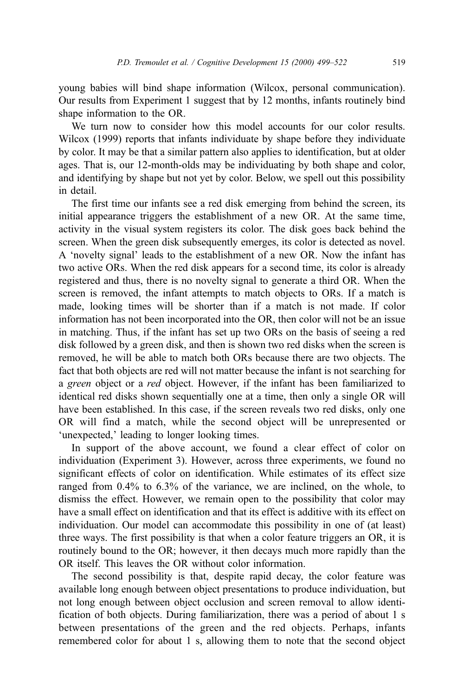young babies will bind shape information (Wilcox, personal communication). Our results from Experiment 1 suggest that by 12 months, infants routinely bind shape information to the OR.

We turn now to consider how this model accounts for our color results. Wilcox (1999) reports that infants individuate by shape before they individuate by color. It may be that a similar pattern also applies to identification, but at older ages. That is, our 12-month-olds may be individuating by both shape and color, and identifying by shape but not yet by color. Below, we spell out this possibility in detail.

The first time our infants see a red disk emerging from behind the screen, its initial appearance triggers the establishment of a new OR. At the same time, activity in the visual system registers its color. The disk goes back behind the screen. When the green disk subsequently emerges, its color is detected as novel. A 'novelty signal' leads to the establishment of a new OR. Now the infant has two active ORs. When the red disk appears for a second time, its color is already registered and thus, there is no novelty signal to generate a third OR. When the screen is removed, the infant attempts to match objects to ORs. If a match is made, looking times will be shorter than if a match is not made. If color information has not been incorporated into the OR, then color will not be an issue in matching. Thus, if the infant has set up two ORs on the basis of seeing a red disk followed by a green disk, and then is shown two red disks when the screen is removed, he will be able to match both ORs because there are two objects. The fact that both objects are red will not matter because the infant is not searching for a green object or a red object. However, if the infant has been familiarized to identical red disks shown sequentially one at a time, then only a single OR will have been established. In this case, if the screen reveals two red disks, only one OR will find a match, while the second object will be unrepresented or 'unexpected,' leading to longer looking times.

In support of the above account, we found a clear effect of color on individuation (Experiment 3). However, across three experiments, we found no significant effects of color on identification. While estimates of its effect size ranged from 0.4% to 6.3% of the variance, we are inclined, on the whole, to dismiss the effect. However, we remain open to the possibility that color may have a small effect on identification and that its effect is additive with its effect on individuation. Our model can accommodate this possibility in one of (at least) three ways. The first possibility is that when a color feature triggers an OR, it is routinely bound to the OR; however, it then decays much more rapidly than the OR itself. This leaves the OR without color information.

The second possibility is that, despite rapid decay, the color feature was available long enough between object presentations to produce individuation, but not long enough between object occlusion and screen removal to allow identification of both objects. During familiarization, there was a period of about 1 s between presentations of the green and the red objects. Perhaps, infants remembered color for about 1 s, allowing them to note that the second object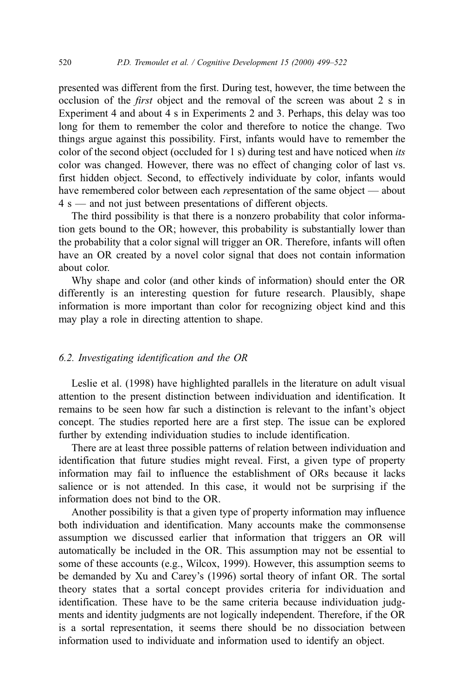presented was different from the first. During test, however, the time between the occlusion of the *first* object and the removal of the screen was about 2 s in Experiment 4 and about 4 s in Experiments 2 and 3. Perhaps, this delay was too long for them to remember the color and therefore to notice the change. Two things argue against this possibility. First, infants would have to remember the color of the second object (occluded for 1 s) during test and have noticed when *its* color was changed. However, there was no effect of changing color of last vs. first hidden object. Second, to effectively individuate by color, infants would have remembered color between each *representation* of the same object — about  $4 s$   $-$  and not just between presentations of different objects.

The third possibility is that there is a nonzero probability that color information gets bound to the OR; however, this probability is substantially lower than the probability that a color signal will trigger an OR. Therefore, infants will often have an OR created by a novel color signal that does not contain information about color.

Why shape and color (and other kinds of information) should enter the OR differently is an interesting question for future research. Plausibly, shape information is more important than color for recognizing object kind and this may play a role in directing attention to shape.

#### 6.2. Investigating identification and the OR

Leslie et al. (1998) have highlighted parallels in the literature on adult visual attention to the present distinction between individuation and identification. It remains to be seen how far such a distinction is relevant to the infant's object concept. The studies reported here are a first step. The issue can be explored further by extending individuation studies to include identification.

There are at least three possible patterns of relation between individuation and identification that future studies might reveal. First, a given type of property information may fail to influence the establishment of ORs because it lacks salience or is not attended. In this case, it would not be surprising if the information does not bind to the OR.

Another possibility is that a given type of property information may influence both individuation and identification. Many accounts make the commonsense assumption we discussed earlier that information that triggers an OR will automatically be included in the OR. This assumption may not be essential to some of these accounts (e.g., Wilcox, 1999). However, this assumption seems to be demanded by Xu and Carey's (1996) sortal theory of infant OR. The sortal theory states that a sortal concept provides criteria for individuation and identification. These have to be the same criteria because individuation judgments and identity judgments are not logically independent. Therefore, if the OR is a sortal representation, it seems there should be no dissociation between information used to individuate and information used to identify an object.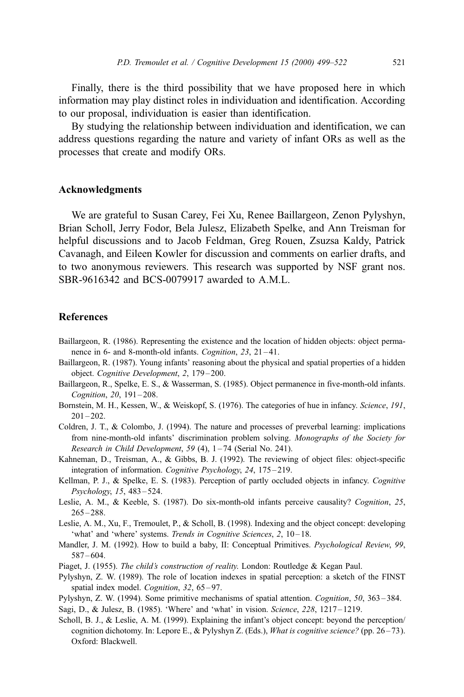Finally, there is the third possibility that we have proposed here in which information may play distinct roles in individuation and identification. According to our proposal, individuation is easier than identification.

By studying the relationship between individuation and identification, we can address questions regarding the nature and variety of infant ORs as well as the processes that create and modify ORs.

#### **Acknowledgments**

We are grateful to Susan Carey, Fei Xu, Renee Baillargeon, Zenon Pylyshyn, Brian Scholl, Jerry Fodor, Bela Julesz, Elizabeth Spelke, and Ann Treisman for helpful discussions and to Jacob Feldman, Greg Rouen, Zsuzsa Kaldy, Patrick Cavanagh, and Eileen Kowler for discussion and comments on earlier drafts, and to two anonymous reviewers. This research was supported by NSF grant nos. SBR-9616342 and BCS-0079917 awarded to A.M.L.

#### **References**

- Baillargeon, R. (1986). Representing the existence and the location of hidden objects: object permanence in 6- and 8-month-old infants. Cognition, 23, 21-41.
- Baillargeon, R. (1987). Young infants' reasoning about the physical and spatial properties of a hidden object. Cognitive Development, 2, 179-200.
- Baillargeon, R., Spelke, E. S., & Wasserman, S. (1985). Object permanence in five-month-old infants. Cognition, 20, 191-208.
- Bornstein, M. H., Kessen, W., & Weiskopf, S. (1976). The categories of hue in infancy. Science, 191,  $201 - 202$ .
- Coldren, J. T., & Colombo, J. (1994). The nature and processes of preverbal learning: implications from nine-month-old infants' discrimination problem solving. Monographs of the Society for Research in Child Development, 59 (4),  $1-74$  (Serial No. 241).
- Kahneman, D., Treisman, A., & Gibbs, B. J. (1992). The reviewing of object files: object-specific integration of information. Cognitive Psychology, 24, 175-219.
- Kellman, P. J., & Spelke, E. S. (1983). Perception of partly occluded objects in infancy. Cognitive Psychology, 15, 483-524.
- Leslie, A. M., & Keeble, S. (1987). Do six-month-old infants perceive causality? Cognition, 25,  $265 - 288.$
- Leslie, A. M., Xu, F., Tremoulet, P., & Scholl, B. (1998). Indexing and the object concept: developing 'what' and 'where' systems. Trends in Cognitive Sciences, 2, 10-18.
- Mandler, J. M. (1992). How to build a baby, II: Conceptual Primitives. Psychological Review, 99,  $587 - 604.$
- Piaget, J. (1955). The child's construction of reality. London: Routledge & Kegan Paul.
- Pylyshyn, Z. W. (1989). The role of location indexes in spatial perception: a sketch of the FINST spatial index model. Cognition, 32, 65-97.
- Pylyshyn, Z. W. (1994). Some primitive mechanisms of spatial attention. Cognition, 50, 363-384.
- Sagi, D., & Julesz, B. (1985). 'Where' and 'what' in vision. Science, 228, 1217-1219.
- Scholl, B. J., & Leslie, A. M. (1999). Explaining the infant's object concept: beyond the perception/ cognition dichotomy. In: Lepore E., & Pylyshyn Z. (Eds.), What is cognitive science? (pp. 26–73). Oxford: Blackwell.